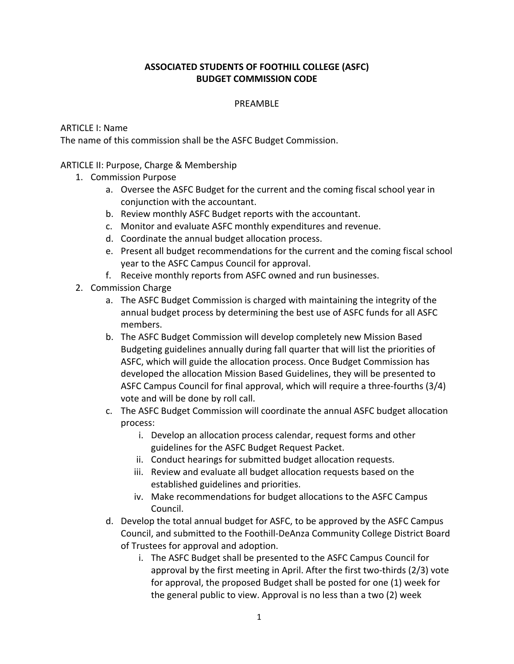# **ASSOCIATED STUDENTS OF FOOTHILL COLLEGE (ASFC) BUDGET COMMISSION CODE**

#### PREAMBLE

### ARTICLE I: Name

The name of this commission shall be the ASFC Budget Commission.

## ARTICLE II: Purpose, Charge & Membership

- 1. Commission Purpose
	- a. Oversee the ASFC Budget for the current and the coming fiscal school year in conjunction with the accountant.
	- b. Review monthly ASFC Budget reports with the accountant.
	- c. Monitor and evaluate ASFC monthly expenditures and revenue.
	- d. Coordinate the annual budget allocation process.
	- e. Present all budget recommendations for the current and the coming fiscal school year to the ASFC Campus Council for approval.
	- f. Receive monthly reports from ASFC owned and run businesses.
- 2. Commission Charge
	- a. The ASFC Budget Commission is charged with maintaining the integrity of the annual budget process by determining the best use of ASFC funds for all ASFC members.
	- b. The ASFC Budget Commission will develop completely new Mission Based Budgeting guidelines annually during fall quarter that will list the priorities of ASFC, which will guide the allocation process. Once Budget Commission has developed the allocation Mission Based Guidelines, they will be presented to ASFC Campus Council for final approval, which will require a three-fourths (3/4) vote and will be done by roll call.
	- c. The ASFC Budget Commission will coordinate the annual ASFC budget allocation process:
		- i. Develop an allocation process calendar, request forms and other guidelines for the ASFC Budget Request Packet.
		- ii. Conduct hearings for submitted budget allocation requests.
		- iii. Review and evaluate all budget allocation requests based on the established guidelines and priorities.
		- iv. Make recommendations for budget allocations to the ASFC Campus Council.
	- d. Develop the total annual budget for ASFC, to be approved by the ASFC Campus Council, and submitted to the Foothill-DeAnza Community College District Board of Trustees for approval and adoption.
		- i. The ASFC Budget shall be presented to the ASFC Campus Council for approval by the first meeting in April. After the first two-thirds (2/3) vote for approval, the proposed Budget shall be posted for one (1) week for the general public to view. Approval is no less than a two (2) week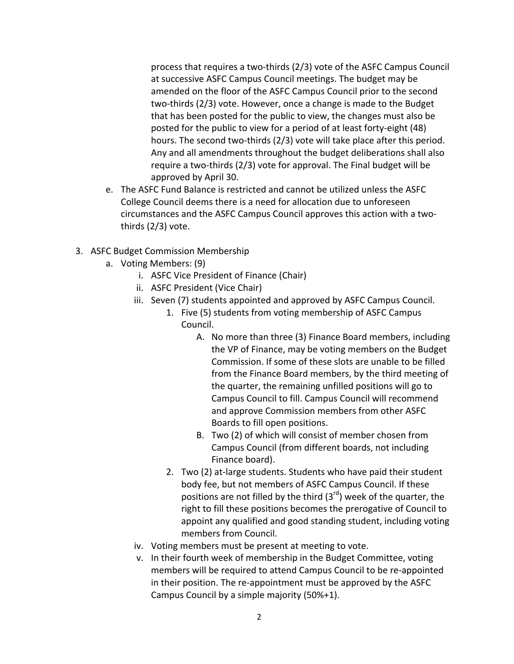process that requires a two-thirds (2/3) vote of the ASFC Campus Council at successive ASFC Campus Council meetings. The budget may be amended on the floor of the ASFC Campus Council prior to the second two-thirds (2/3) vote. However, once a change is made to the Budget that has been posted for the public to view, the changes must also be posted for the public to view for a period of at least forty-eight (48) hours. The second two-thirds (2/3) vote will take place after this period. Any and all amendments throughout the budget deliberations shall also require a two-thirds (2/3) vote for approval. The Final budget will be approved by April 30.

- e. The ASFC Fund Balance is restricted and cannot be utilized unless the ASFC College Council deems there is a need for allocation due to unforeseen circumstances and the ASFC Campus Council approves this action with a twothirds (2/3) vote.
- 3. ASFC Budget Commission Membership
	- a. Voting Members: (9)
		- i. ASFC Vice President of Finance (Chair)
		- ii. ASFC President (Vice Chair)
		- iii. Seven (7) students appointed and approved by ASFC Campus Council.
			- 1. Five (5) students from voting membership of ASFC Campus Council.
				- A. No more than three (3) Finance Board members, including the VP of Finance, may be voting members on the Budget Commission. If some of these slots are unable to be filled from the Finance Board members, by the third meeting of the quarter, the remaining unfilled positions will go to Campus Council to fill. Campus Council will recommend and approve Commission members from other ASFC Boards to fill open positions.
				- B. Two (2) of which will consist of member chosen from Campus Council (from different boards, not including Finance board).
			- 2. Two (2) at-large students. Students who have paid their student body fee, but not members of ASFC Campus Council. If these positions are not filled by the third  $(3<sup>rd</sup>)$  week of the quarter, the right to fill these positions becomes the prerogative of Council to appoint any qualified and good standing student, including voting members from Council.
		- iv. Voting members must be present at meeting to vote.
		- v. In their fourth week of membership in the Budget Committee, voting members will be required to attend Campus Council to be re-appointed in their position. The re-appointment must be approved by the ASFC Campus Council by a simple majority (50%+1).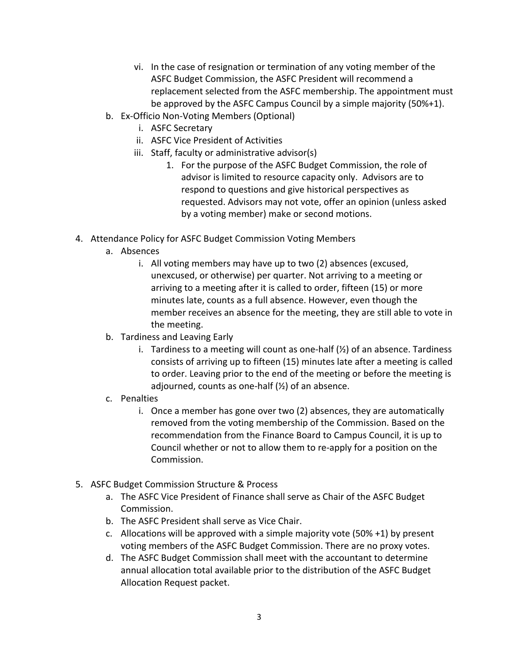- vi. In the case of resignation or termination of any voting member of the ASFC Budget Commission, the ASFC President will recommend a replacement selected from the ASFC membership. The appointment must be approved by the ASFC Campus Council by a simple majority (50%+1).
- b. Ex-Officio Non-Voting Members (Optional)
	- i. ASFC Secretary
	- ii. ASFC Vice President of Activities
	- iii. Staff, faculty or administrative advisor(s)
		- 1. For the purpose of the ASFC Budget Commission, the role of advisor is limited to resource capacity only. Advisors are to respond to questions and give historical perspectives as requested. Advisors may not vote, offer an opinion (unless asked by a voting member) make or second motions.
- 4. Attendance Policy for ASFC Budget Commission Voting Members
	- a. Absences
		- i. All voting members may have up to two (2) absences (excused, unexcused, or otherwise) per quarter. Not arriving to a meeting or arriving to a meeting after it is called to order, fifteen (15) or more minutes late, counts as a full absence. However, even though the member receives an absence for the meeting, they are still able to vote in the meeting.
	- b. Tardiness and Leaving Early
		- i. Tardiness to a meeting will count as one-half  $(\frac{1}{2})$  of an absence. Tardiness consists of arriving up to fifteen (15) minutes late after a meeting is called to order. Leaving prior to the end of the meeting or before the meeting is adjourned, counts as one-half  $(\frac{1}{2})$  of an absence.
	- c. Penalties
		- i. Once a member has gone over two  $(2)$  absences, they are automatically removed from the voting membership of the Commission. Based on the recommendation from the Finance Board to Campus Council, it is up to Council whether or not to allow them to re-apply for a position on the Commission.
- 5. ASFC Budget Commission Structure & Process
	- a. The ASFC Vice President of Finance shall serve as Chair of the ASFC Budget Commission.
	- b. The ASFC President shall serve as Vice Chair.
	- c. Allocations will be approved with a simple majority vote (50% +1) by present voting members of the ASFC Budget Commission. There are no proxy votes.
	- d. The ASFC Budget Commission shall meet with the accountant to determine annual allocation total available prior to the distribution of the ASFC Budget Allocation Request packet.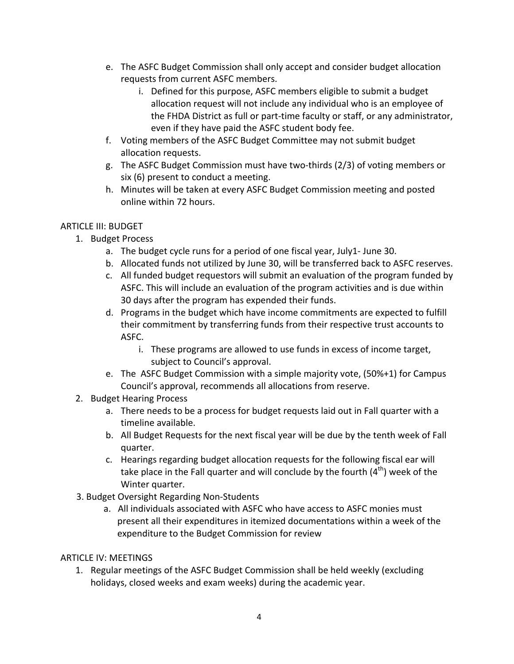- e. The ASFC Budget Commission shall only accept and consider budget allocation requests from current ASFC members.
	- i. Defined for this purpose, ASFC members eligible to submit a budget allocation request will not include any individual who is an employee of the FHDA District as full or part-time faculty or staff, or any administrator, even if they have paid the ASFC student body fee.
- f. Voting members of the ASFC Budget Committee may not submit budget allocation requests.
- g. The ASFC Budget Commission must have two-thirds (2/3) of voting members or six (6) present to conduct a meeting.
- h. Minutes will be taken at every ASFC Budget Commission meeting and posted online within 72 hours.

# ARTICLE III: BUDGET

- 1. Budget Process
	- a. The budget cycle runs for a period of one fiscal year, July1-June 30.
	- b. Allocated funds not utilized by June 30, will be transferred back to ASFC reserves.
	- c. All funded budget requestors will submit an evaluation of the program funded by ASFC. This will include an evaluation of the program activities and is due within 30 days after the program has expended their funds.
	- d. Programs in the budget which have income commitments are expected to fulfill their commitment by transferring funds from their respective trust accounts to ASFC.
		- i. These programs are allowed to use funds in excess of income target, subject to Council's approval.
	- e. The ASFC Budget Commission with a simple majority vote, (50%+1) for Campus Council's approval, recommends all allocations from reserve.
- 2. Budget Hearing Process
	- a. There needs to be a process for budget requests laid out in Fall quarter with a timeline available.
	- b. All Budget Requests for the next fiscal year will be due by the tenth week of Fall quarter.
	- c. Hearings regarding budget allocation requests for the following fiscal ear will take place in the Fall quarter and will conclude by the fourth  $(4<sup>th</sup>)$  week of the Winter quarter.
- 3. Budget Oversight Regarding Non-Students
	- a. All individuals associated with ASFC who have access to ASFC monies must present all their expenditures in itemized documentations within a week of the expenditure to the Budget Commission for review

# ARTICLE IV: MEETINGS

1. Regular meetings of the ASFC Budget Commission shall be held weekly (excluding holidays, closed weeks and exam weeks) during the academic year.